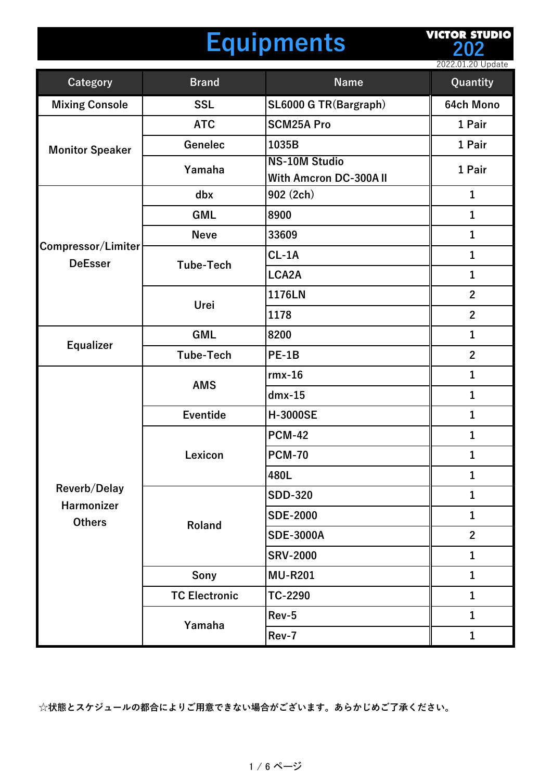#### **Equipments**

**VICTOR STUDIO 202**

|                                      |                      |                                                | 2022.01.20 Update |
|--------------------------------------|----------------------|------------------------------------------------|-------------------|
| Category                             | <b>Brand</b>         | <b>Name</b>                                    | Quantity          |
| <b>Mixing Console</b>                | <b>SSL</b>           | SL6000 G TR(Bargraph)                          | 64ch Mono         |
| <b>Monitor Speaker</b>               | <b>ATC</b>           | <b>SCM25A Pro</b>                              | 1 Pair            |
|                                      | Genelec              | 1035B                                          | 1 Pair            |
|                                      | Yamaha               | <b>NS-10M Studio</b><br>With Amcron DC-300A II | 1 Pair            |
|                                      | dbx                  | 902 (2ch)                                      | $\mathbf{1}$      |
|                                      | <b>GML</b>           | 8900                                           | $\mathbf{1}$      |
|                                      | <b>Neve</b>          | 33609                                          | $\mathbf 1$       |
| Compressor/Limiter<br><b>DeEsser</b> |                      | $CL-1A$                                        | $\mathbf{1}$      |
|                                      | <b>Tube-Tech</b>     | LCA2A                                          | $\mathbf{1}$      |
|                                      | Urei                 | 1176LN                                         | $\overline{2}$    |
|                                      |                      | 1178                                           | $\overline{2}$    |
|                                      | <b>GML</b>           | 8200                                           | 1                 |
| <b>Equalizer</b>                     | <b>Tube-Tech</b>     | PE-1B                                          | $\overline{2}$    |
|                                      | <b>AMS</b>           | $rmx-16$                                       | $\mathbf{1}$      |
|                                      |                      | $dmx-15$                                       | $\mathbf{1}$      |
|                                      | <b>Eventide</b>      | <b>H-3000SE</b>                                | $\mathbf{1}$      |
|                                      | Lexicon              | <b>PCM-42</b>                                  | 1                 |
|                                      |                      | <b>PCM-70</b>                                  | 1                 |
|                                      |                      | 480L                                           | 1                 |
| Reverb/Delay                         | Roland               | <b>SDD-320</b>                                 | $\mathbf{1}$      |
| Harmonizer<br><b>Others</b>          |                      | <b>SDE-2000</b>                                | $\mathbf{1}$      |
|                                      |                      | <b>SDE-3000A</b>                               | $\overline{2}$    |
|                                      |                      | <b>SRV-2000</b>                                | $\mathbf{1}$      |
|                                      | Sony                 | <b>MU-R201</b>                                 | $\mathbf{1}$      |
|                                      | <b>TC Electronic</b> | TC-2290                                        | $\mathbf{1}$      |
|                                      |                      | Rev-5                                          | $\mathbf{1}$      |
|                                      | Yamaha               | Rev-7                                          | $\mathbf{1}$      |

**☆状態とスケジュールの都合によりご⽤意できない場合がございます。あらかじめご了承ください。**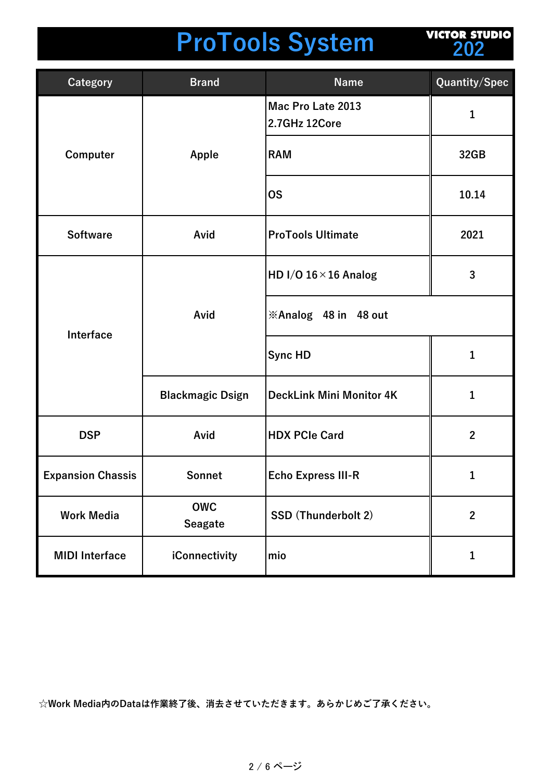### **ProTools System**

**VICTOR STUDIO 202**

| Category                 | <b>Brand</b>                 | <b>Name</b>                        | Quantity/Spec |
|--------------------------|------------------------------|------------------------------------|---------------|
| Computer                 | Apple                        | Mac Pro Late 2013<br>2.7GHz 12Core | 1             |
|                          |                              | <b>RAM</b>                         | 32GB          |
|                          |                              | <b>OS</b>                          | 10.14         |
| <b>Software</b>          | Avid                         | <b>ProTools Ultimate</b>           | 2021          |
| Interface                | Avid                         | HD I/O $16 \times 16$ Analog       | 3             |
|                          |                              | <b>※Analog 48 in 48 out</b>        |               |
|                          |                              | <b>Sync HD</b>                     | $\mathbf{1}$  |
|                          | <b>Blackmagic Dsign</b>      | <b>DeckLink Mini Monitor 4K</b>    | 1             |
| <b>DSP</b>               | Avid                         | <b>HDX PCIe Card</b>               | $\mathbf{2}$  |
| <b>Expansion Chassis</b> | Sonnet                       | <b>Echo Express III-R</b>          | 1             |
| <b>Work Media</b>        | <b>OWC</b><br><b>Seagate</b> | SSD (Thunderbolt 2)                | $\mathbf{2}$  |
| <b>MIDI Interface</b>    | iConnectivity                | mio                                | 1             |

**☆Work Media内のDataは作業終了後、消去させていただきます。あらかじめご了承ください。**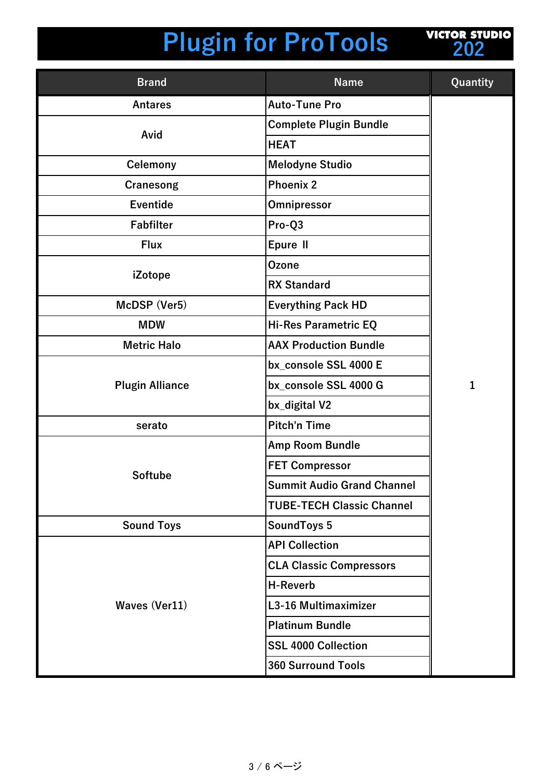

| <b>Brand</b>           | <b>Name</b>                       | Quantity     |
|------------------------|-----------------------------------|--------------|
| <b>Antares</b>         | <b>Auto-Tune Pro</b>              |              |
| Avid                   | <b>Complete Plugin Bundle</b>     |              |
|                        | <b>HEAT</b>                       |              |
| <b>Celemony</b>        | <b>Melodyne Studio</b>            |              |
| Cranesong              | <b>Phoenix 2</b>                  |              |
| <b>Eventide</b>        | Omnipressor                       |              |
| <b>Fabfilter</b>       | Pro-Q3                            |              |
| <b>Flux</b>            | Epure II                          |              |
|                        | <b>Ozone</b>                      |              |
| iZotope                | <b>RX Standard</b>                |              |
| McDSP (Ver5)           | <b>Everything Pack HD</b>         |              |
| <b>MDW</b>             | Hi-Res Parametric EQ              |              |
| <b>Metric Halo</b>     | <b>AAX Production Bundle</b>      |              |
|                        | bx_console SSL 4000 E             |              |
| <b>Plugin Alliance</b> | bx_console SSL 4000 G             | $\mathbf{1}$ |
|                        | bx_digital V2                     |              |
| serato                 | <b>Pitch'n Time</b>               |              |
|                        | Amp Room Bundle                   |              |
|                        | <b>FET Compressor</b>             |              |
| <b>Softube</b>         | <b>Summit Audio Grand Channel</b> |              |
|                        | <b>TUBE-TECH Classic Channel</b>  |              |
| <b>Sound Toys</b>      | <b>SoundToys 5</b>                |              |
|                        | <b>API Collection</b>             |              |
|                        | <b>CLA Classic Compressors</b>    |              |
|                        | <b>H-Reverb</b>                   |              |
| <b>Waves (Ver11)</b>   | L3-16 Multimaximizer              |              |
|                        | <b>Platinum Bundle</b>            |              |
|                        | <b>SSL 4000 Collection</b>        |              |
|                        | <b>360 Surround Tools</b>         |              |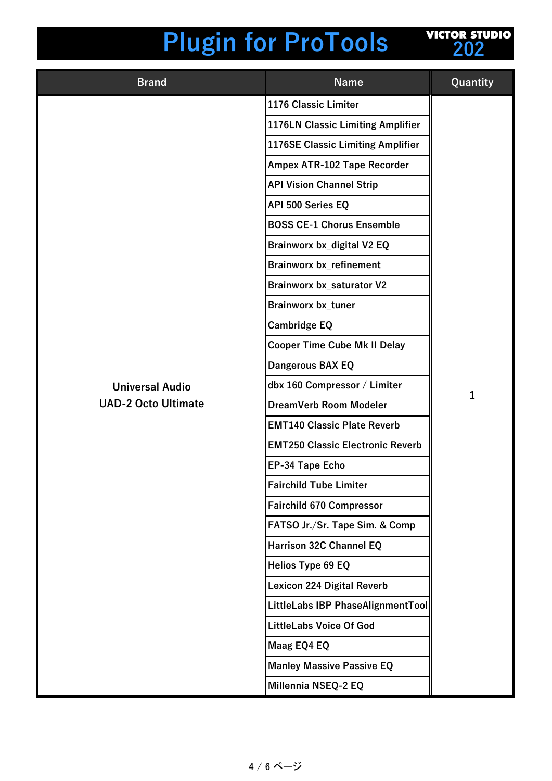

| <b>Brand</b>               | <b>Name</b>                             | Quantity |
|----------------------------|-----------------------------------------|----------|
|                            | 1176 Classic Limiter                    |          |
|                            | 1176LN Classic Limiting Amplifier       |          |
|                            | 1176SE Classic Limiting Amplifier       |          |
|                            | Ampex ATR-102 Tape Recorder             |          |
|                            | <b>API Vision Channel Strip</b>         |          |
|                            | API 500 Series EQ                       |          |
|                            | <b>BOSS CE-1 Chorus Ensemble</b>        |          |
|                            | Brainworx bx_digital V2 EQ              |          |
|                            | <b>Brainworx bx_refinement</b>          |          |
|                            | <b>Brainworx bx_saturator V2</b>        |          |
|                            | <b>Brainworx bx_tuner</b>               |          |
|                            | <b>Cambridge EQ</b>                     |          |
|                            | <b>Cooper Time Cube Mk II Delay</b>     |          |
|                            | Dangerous BAX EQ                        |          |
| <b>Universal Audio</b>     | dbx 160 Compressor / Limiter            | 1        |
| <b>UAD-2 Octo Ultimate</b> | DreamVerb Room Modeler                  |          |
|                            | <b>EMT140 Classic Plate Reverb</b>      |          |
|                            | <b>EMT250 Classic Electronic Reverb</b> |          |
|                            | <b>EP-34 Tape Echo</b>                  |          |
|                            | <b>Fairchild Tube Limiter</b>           |          |
|                            | <b>Fairchild 670 Compressor</b>         |          |
|                            | FATSO Jr./Sr. Tape Sim. & Comp          |          |
|                            | <b>Harrison 32C Channel EQ</b>          |          |
|                            | Helios Type 69 EQ                       |          |
|                            | <b>Lexicon 224 Digital Reverb</b>       |          |
|                            | LittleLabs IBP PhaseAlignmentTool       |          |
|                            | <b>LittleLabs Voice Of God</b>          |          |
|                            | Maag EQ4 EQ                             |          |
|                            | <b>Manley Massive Passive EQ</b>        |          |
|                            | Millennia NSEQ-2 EQ                     |          |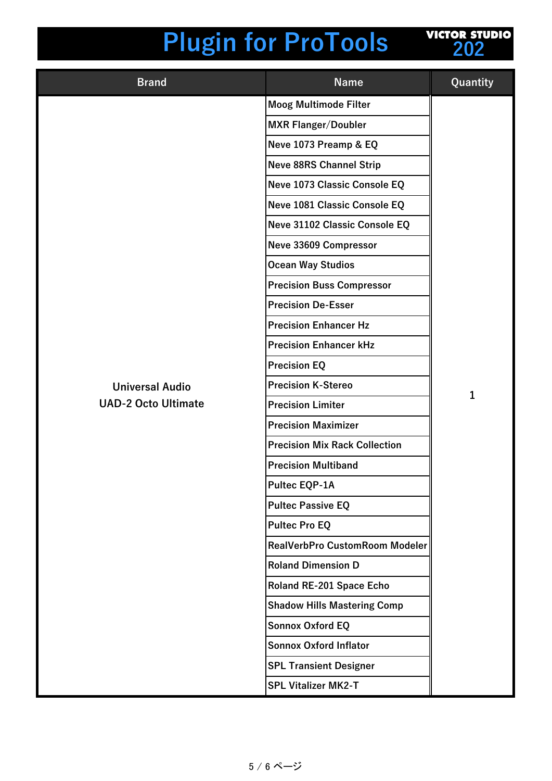| <b>VICTOR STUDIO</b> |     |  |  |
|----------------------|-----|--|--|
|                      | 202 |  |  |
|                      |     |  |  |

| <b>Brand</b>               | <b>Name</b>                          | Quantity |
|----------------------------|--------------------------------------|----------|
|                            | <b>Moog Multimode Filter</b>         |          |
|                            | <b>MXR Flanger/Doubler</b>           |          |
|                            | Neve 1073 Preamp & EQ                |          |
|                            | <b>Neve 88RS Channel Strip</b>       |          |
|                            | Neve 1073 Classic Console EQ         |          |
|                            | Neve 1081 Classic Console EQ         |          |
|                            | Neve 31102 Classic Console EQ        |          |
|                            | Neve 33609 Compressor                |          |
|                            | <b>Ocean Way Studios</b>             |          |
|                            | <b>Precision Buss Compressor</b>     |          |
|                            | <b>Precision De-Esser</b>            |          |
|                            | <b>Precision Enhancer Hz</b>         |          |
|                            | <b>Precision Enhancer kHz</b>        |          |
|                            | <b>Precision EQ</b>                  |          |
| <b>Universal Audio</b>     | <b>Precision K-Stereo</b>            | 1        |
| <b>UAD-2 Octo Ultimate</b> | <b>Precision Limiter</b>             |          |
|                            | <b>Precision Maximizer</b>           |          |
|                            | <b>Precision Mix Rack Collection</b> |          |
|                            | <b>Precision Multiband</b>           |          |
|                            | Pultec EQP-1A                        |          |
|                            | <b>Pultec Passive EQ</b>             |          |
|                            | <b>Pultec Pro EQ</b>                 |          |
|                            | RealVerbPro CustomRoom Modeler       |          |
|                            | <b>Roland Dimension D</b>            |          |
|                            | Roland RE-201 Space Echo             |          |
|                            | <b>Shadow Hills Mastering Comp</b>   |          |
|                            | <b>Sonnox Oxford EQ</b>              |          |
|                            | <b>Sonnox Oxford Inflator</b>        |          |
|                            | <b>SPL Transient Designer</b>        |          |
|                            | <b>SPL Vitalizer MK2-T</b>           |          |